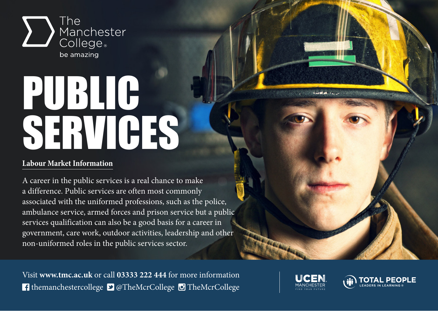

## PUBLIC SERVICES

## **Labour Market Information**

A career in the public services is a real chance to make a difference. Public services are often most commonly associated with the uniformed professions, such as the police, ambulance service, armed forces and prison service but a public services qualification can also be a good basis for a career in government, care work, outdoor activities, leadership and other non-uniformed roles in the public services sector.

Visit **www.tmc.ac.uk** or call **03333 222 444** for more information **f** themanchestercollege **D** @TheMcrCollege **D** TheMcrCollege